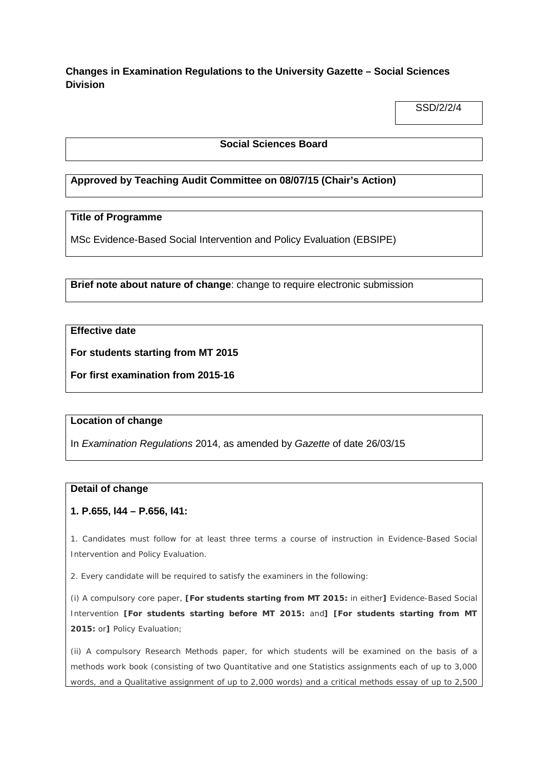# **Changes in Examination Regulations to the University Gazette – Social Sciences Division**

SSD/2/2/4

### **Social Sciences Board**

### **Approved by Teaching Audit Committee on 08/07/15 (Chair's Action)**

### **Title of Programme**

MSc Evidence-Based Social Intervention and Policy Evaluation (EBSIPE)

**Brief note about nature of change**: change to require electronic submission

### **Effective date**

**For students starting from MT 2015**

**For first examination from 2015-16**

### **Location of change**

In *Examination Regulations* 2014, as amended by *Gazette* of date 26/03/15

### **Detail of change**

### **1. P.655, l44 – P.656, l41:**

1. Candidates must follow for at least three terms a course of instruction in Evidence-Based Social Intervention and Policy Evaluation.

2. Every candidate will be required to satisfy the examiners in the following:

(i) A compulsory core paper, **[For students starting from MT 2015:** in either**]** Evidence-Based Social Intervention **[For students starting before MT 2015:** and**] [For students starting from MT 2015:** or**]** Policy Evaluation;

(ii) A compulsory Research Methods paper, for which students will be examined on the basis of a methods work book (consisting of two Quantitative and one Statistics assignments each of up to 3,000 words, and a Qualitative assignment of up to 2,000 words) and a critical methods essay of up to 2,500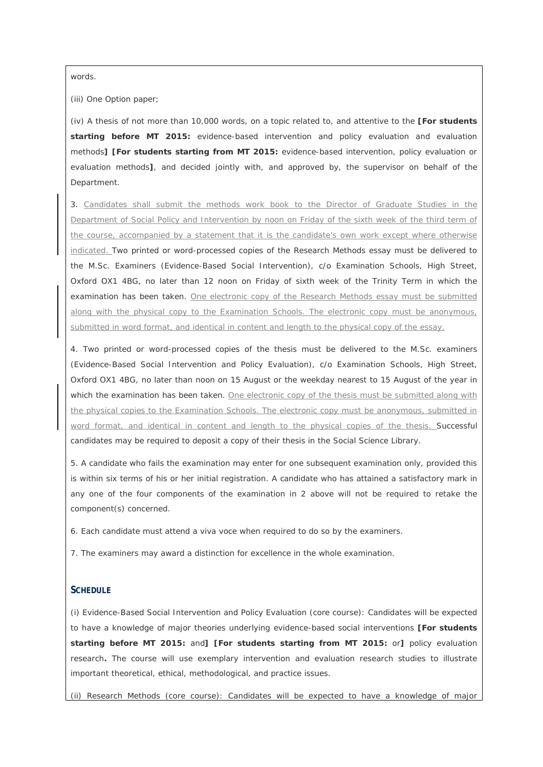words.

(iii) One Option paper;

(iv) A thesis of not more than 10,000 words, on a topic related to, and attentive to the **[For students starting before MT 2015:** evidence-based intervention and policy evaluation and evaluation methods**] [For students starting from MT 2015:** evidence-based intervention, policy evaluation or evaluation methods**]**, and decided jointly with, and approved by, the supervisor on behalf of the Department.

3. Candidates shall submit the methods work book to the Director of Graduate Studies in the Department of Social Policy and Intervention by noon on Friday of the sixth week of the third term of the course, accompanied by a statement that it is the candidate's own work except where otherwise indicated. Two printed or word-processed copies of the Research Methods essay must be delivered to the M.Sc. Examiners (Evidence-Based Social Intervention), c/o Examination Schools, High Street, Oxford OX1 4BG, no later than 12 noon on Friday of sixth week of the Trinity Term in which the examination has been taken. One electronic copy of the Research Methods essay must be submitted along with the physical copy to the Examination Schools. The electronic copy must be anonymous, submitted in word format, and identical in content and length to the physical copy of the essay.

4. Two printed or word-processed copies of the thesis must be delivered to the M.Sc. examiners (Evidence-Based Social Intervention and Policy Evaluation), c/o Examination Schools, High Street, Oxford OX1 4BG, no later than noon on 15 August or the weekday nearest to 15 August of the year in which the examination has been taken. One electronic copy of the thesis must be submitted along with the physical copies to the Examination Schools. The electronic copy must be anonymous, submitted in word format, and identical in content and length to the physical copies of the thesis. Successful candidates may be required to deposit a copy of their thesis in the Social Science Library.

5. A candidate who fails the examination may enter for one subsequent examination only, provided this is within six terms of his or her initial registration. A candidate who has attained a satisfactory mark in any one of the four components of the examination in 2 above will not be required to retake the component(s) concerned.

6. Each candidate must attend a viva voce when required to do so by the examiners.

7. The examiners may award a distinction for excellence in the whole examination.

#### **SCHEDULE**

(i) *Evidence-Based Social Intervention and Policy Evaluation* (core course): Candidates will be expected to have a knowledge of major theories underlying evidence-based social interventions **[For students starting before MT 2015:** and**] [For students starting from MT 2015:** or**]** policy evaluation research**.** The course will use exemplary intervention and evaluation research studies to illustrate important theoretical, ethical, methodological, and practice issues.

(ii) *Research Methods* (core course): Candidates will be expected to have a knowledge of major